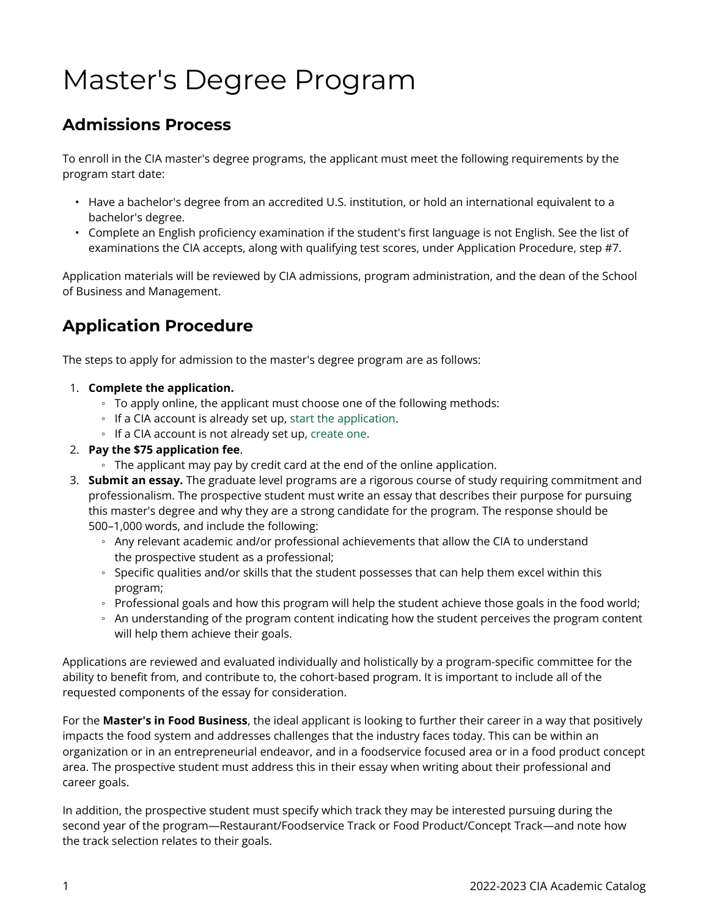## Master's Degree Program

## **Admissions Process**

To enroll in the CIA master's degree programs, the applicant must meet the following requirements by the program start date:

- Have a bachelor's degree from an accredited U.S. institution, or hold an international equivalent to a bachelor's degree.
- Complete an English proficiency examination if the student's first language is not English. See the list of examinations the CIA accepts, along with qualifying test scores, under Application Procedure, step #7.

Application materials will be reviewed by CIA admissions, program administration, and the dean of the School of Business and Management.

## **Application Procedure**

The steps to apply for admission to the master's degree program are as follows:

- 1. **Complete the application.** 
	- To apply online, the applicant must choose one of the following methods:
	- If a CIA account is already set up, [start the application.](https://ciachef.elluciancrmrecruit.com/Admissions/Pages/welcome.aspx)
	- If a CIA account is not already set up, [create one.](https://ciachef.elluciancrmrecruit.com/Admissions/Pages/createaccount.aspx?f=0fef5b30-5e08-43ef-8d8a-442cf746de21&o=01c05a8b-a660-4ea9-ac8e-b0096da28e85)
- 2. **Pay the \$75 application fee**.
	- The applicant may pay by credit card at the end of the online application.
- 3. **Submit an essay.** The graduate level programs are a rigorous course of study requiring commitment and professionalism. The prospective student must write an essay that describes their purpose for pursuing this master's degree and why they are a strong candidate for the program. The response should be 500–1,000 words, and include the following:
	- Any relevant academic and/or professional achievements that allow the CIA to understand the prospective student as a professional;
	- Specific qualities and/or skills that the student possesses that can help them excel within this program;
	- Professional goals and how this program will help the student achieve those goals in the food world;
	- An understanding of the program content indicating how the student perceives the program content will help them achieve their goals.

Applications are reviewed and evaluated individually and holistically by a program-specific committee for the ability to benefit from, and contribute to, the cohort-based program. It is important to include all of the requested components of the essay for consideration.

For the **Master's in Food Business**, the ideal applicant is looking to further their career in a way that positively impacts the food system and addresses challenges that the industry faces today. This can be within an organization or in an entrepreneurial endeavor, and in a foodservice focused area or in a food product concept area. The prospective student must address this in their essay when writing about their professional and career goals.

In addition, the prospective student must specify which track they may be interested pursuing during the second year of the program—Restaurant/Foodservice Track or Food Product/Concept Track—and note how the track selection relates to their goals.